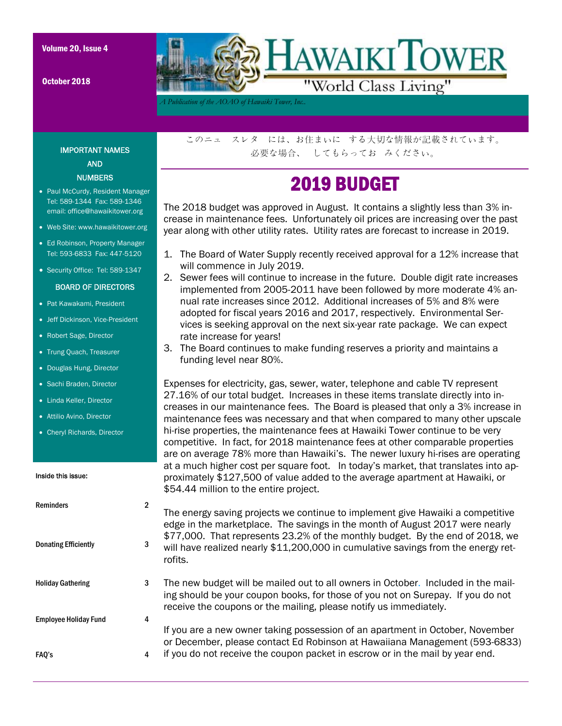October 2018



*A Publication of the AOAO of Hawaiki Tower, Inc..* 

IMPORTANT NAMES AND **NUMBERS** 

- Paul McCurdy, Resident Manager Tel: 589-1344 Fax: 589-1346 email: office@hawaikitower.org
- Web Site: www.hawaikitower.org
- Ed Robinson, Property Manager Tel: 593-6833 Fax: 447-5120
- Security Office: Tel: 589-1347

#### BOARD OF DIRECTORS

- Pat Kawakami, President
- Jeff Dickinson, Vice-President
- Robert Sage, Director
- Trung Quach, Treasurer
- Douglas Hung, Director
- Sachi Braden, Director
- Linda Keller, Director
- Attilio Avino, Director
- Cheryl Richards, Director

FAQ's 4

| Inside this issue:           |   | at a much higher cost per square foot. Th today s market, that translates into ap-<br>proximately \$127,500 of value added to the average apartment at Hawaiki, or<br>\$54.44 million to the entire project.                              |
|------------------------------|---|-------------------------------------------------------------------------------------------------------------------------------------------------------------------------------------------------------------------------------------------|
| <b>Reminders</b>             | 2 | The energy saving projects we continue to implement give Hawaiki a competitive<br>edge in the marketplace. The savings in the month of August 2017 were nearly                                                                            |
| <b>Donating Efficiently</b>  | 3 | \$77,000. That represents 23.2% of the monthly budget. By the end of 2018, we<br>will have realized nearly \$11,200,000 in cumulative savings from the energy ret-<br>rofits.                                                             |
| <b>Holiday Gathering</b>     | 3 | The new budget will be mailed out to all owners in October. Included in the mail-<br>ing should be your coupon books, for those of you not on Surepay. If you do not<br>receive the coupons or the mailing, please notify us immediately. |
| <b>Employee Holiday Fund</b> | 4 |                                                                                                                                                                                                                                           |
|                              |   | If you are a new owner taking possession of an apartment in October, November<br>or December, please contact Ed Robinson at Hawaiiana Management (593-6833)                                                                               |

このニュ スレタ には、お住まいに する大切な情報が記載されています。 必要な場合、 してもらってお みください。

## 2019 BUDGET

The 2018 budget was approved in August. It contains a slightly less than 3% increase in maintenance fees. Unfortunately oil prices are increasing over the past year along with other utility rates. Utility rates are forecast to increase in 2019.

- 1. The Board of Water Supply recently received approval for a 12% increase that will commence in July 2019.
- 2. Sewer fees will continue to increase in the future. Double digit rate increases implemented from 2005-2011 have been followed by more moderate 4% annual rate increases since 2012. Additional increases of 5% and 8% were adopted for fiscal years 2016 and 2017, respectively. Environmental Services is seeking approval on the next six-year rate package. We can expect rate increase for years!
- 3. The Board continues to make funding reserves a priority and maintains a funding level near 80%.

Expenses for electricity, gas, sewer, water, telephone and cable TV represent 27.16% of our total budget. Increases in these items translate directly into increases in our maintenance fees. The Board is pleased that only a 3% increase in maintenance fees was necessary and that when compared to many other upscale hi-rise properties, the maintenance fees at Hawaiki Tower continue to be very competitive. In fact, for 2018 maintenance fees at other comparable properties are on average 78% more than Hawaiki's. The newer luxury hi-rises are operating at a much higher cost per square foot. In today's market, that translates into ap-

if you do not receive the coupon packet in escrow or in the mail by year end.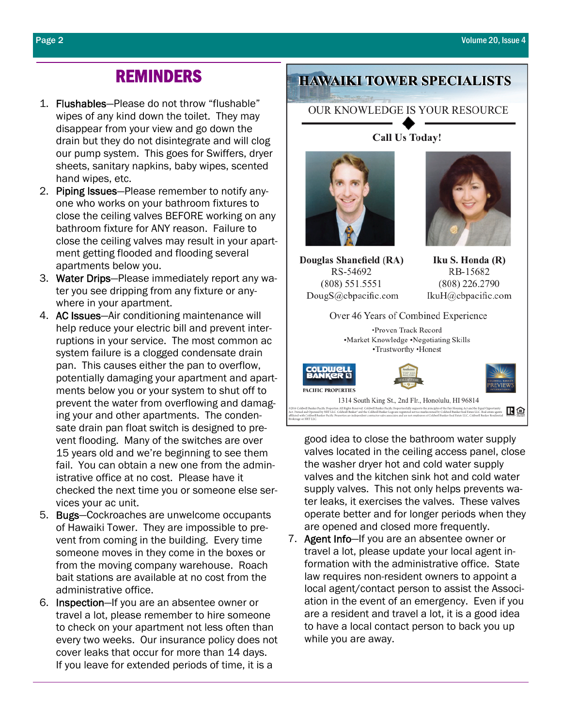### REMINDERS

- 1. Flushables—Please do not throw "flushable" wipes of any kind down the toilet. They may disappear from your view and go down the drain but they do not disintegrate and will clog our pump system. This goes for Swiffers, dryer sheets, sanitary napkins, baby wipes, scented hand wipes, etc.
- 2. Piping Issues-Please remember to notify anyone who works on your bathroom fixtures to close the ceiling valves BEFORE working on any bathroom fixture for ANY reason. Failure to close the ceiling valves may result in your apartment getting flooded and flooding several apartments below you.
- 3. Water Drips—Please immediately report any water you see dripping from any fixture or anywhere in your apartment.
- 4. AC Issues—Air conditioning maintenance will help reduce your electric bill and prevent interruptions in your service. The most common ac system failure is a clogged condensate drain pan. This causes either the pan to overflow, potentially damaging your apartment and apartments below you or your system to shut off to prevent the water from overflowing and damaging your and other apartments. The condensate drain pan float switch is designed to prevent flooding. Many of the switches are over 15 years old and we're beginning to see them fail. You can obtain a new one from the administrative office at no cost. Please have it checked the next time you or someone else services your ac unit.
- 5. Bugs—Cockroaches are unwelcome occupants of Hawaiki Tower. They are impossible to prevent from coming in the building. Every time someone moves in they come in the boxes or from the moving company warehouse. Roach bait stations are available at no cost from the administrative office.
- 6. Inspection—If you are an absentee owner or travel a lot, please remember to hire someone to check on your apartment not less often than every two weeks. Our insurance policy does not cover leaks that occur for more than 14 days. If you leave for extended periods of time, it is a

### **HAWAIKI TOWER SPECIALISTS**

#### OUR KNOWLEDGE IS YOUR RESOURCE

**Call Us Today!** 



Douglas Shanefield (RA) RS-54692  $(808) 551.5551$ DougS@cbpacific.com

Iku S. Honda (R) RB-15682  $(808)$  226.2790 IkuH@cbpacific.com

Over 46 Years of Combined Experience •Proven Track Record •Market Knowledge •Negotiating Skills •Trustworthy •Honest



good idea to close the bathroom water supply valves located in the ceiling access panel, close the washer dryer hot and cold water supply valves and the kitchen sink hot and cold water supply valves. This not only helps prevents water leaks, it exercises the valves. These valves operate better and for longer periods when they are opened and closed more frequently.

7. Agent Info-If you are an absentee owner or travel a lot, please update your local agent information with the administrative office. State law requires non-resident owners to appoint a local agent/contact person to assist the Association in the event of an emergency. Even if you are a resident and travel a lot, it is a good idea to have a local contact person to back you up while you are away.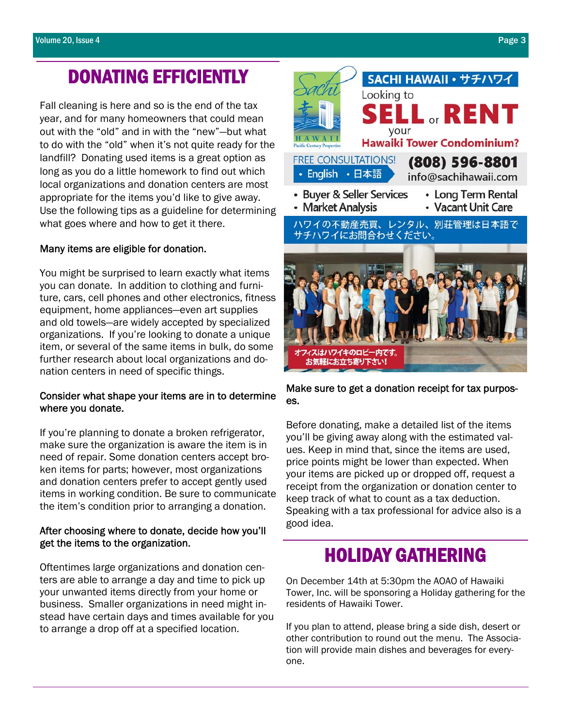## DONATING EFFICIENTLY

Fall cleaning is here and so is the end of the tax year, and for many homeowners that could mean out with the "old" and in with the "new"—but what to do with the "old" when it's not quite ready for the landfill? Donating used items is a great option as long as you do a little homework to find out which local organizations and donation centers are most appropriate for the items you'd like to give away. Use the following tips as a guideline for determining what goes where and how to get it there.

#### Many items are eligible for donation.

You might be surprised to learn exactly what items you can donate. In addition to clothing and furniture, cars, cell phones and other electronics, fitness equipment, home appliances—even art supplies and old towels—are widely accepted by specialized organizations. If you're looking to donate a unique item, or several of the same items in bulk, do some further research about local organizations and donation centers in need of specific things.

#### Consider what shape your items are in to determine where you donate.

If you're planning to donate a broken refrigerator, make sure the organization is aware the item is in need of repair. Some donation centers accept broken items for parts; however, most organizations and donation centers prefer to accept gently used items in working condition. Be sure to communicate the item's condition prior to arranging a donation.

#### After choosing where to donate, decide how you'll get the items to the organization.

Oftentimes large organizations and donation centers are able to arrange a day and time to pick up your unwanted items directly from your home or business. Smaller organizations in need might instead have certain days and times available for you to arrange a drop off at a specified location.



Make sure to get a donation receipt for tax purposes.

Before donating, make a detailed list of the items you'll be giving away along with the estimated values. Keep in mind that, since the items are used, price points might be lower than expected. When your items are picked up or dropped off, request a receipt from the organization or donation center to keep track of what to count as a tax deduction. Speaking with a tax professional for advice also is a good idea.

### HOLIDAY GATHERING

On December 14th at 5:30pm the AOAO of Hawaiki Tower, Inc. will be sponsoring a Holiday gathering for the residents of Hawaiki Tower.

If you plan to attend, please bring a side dish, desert or other contribution to round out the menu. The Association will provide main dishes and beverages for everyone.